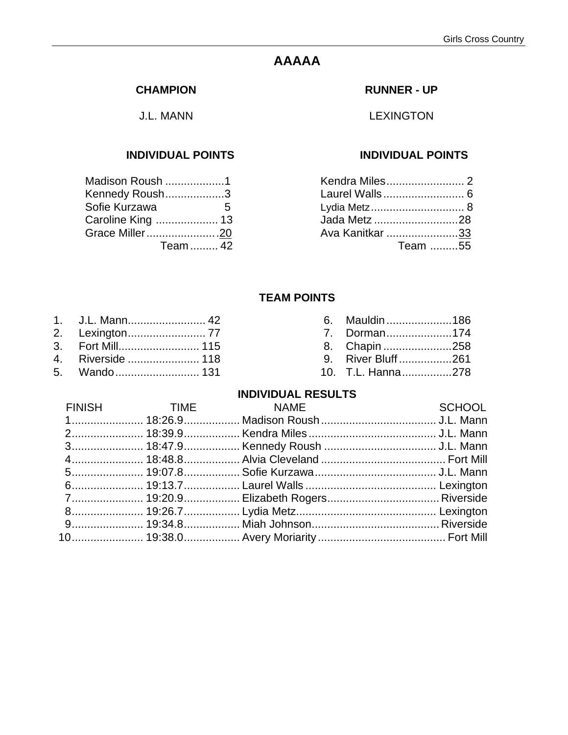# **AAAAA**

#### **CHAMPION**

J.L. MANN

| Madison Roush 1   |   |
|-------------------|---|
| Kennedy Roush3    |   |
| Sofie Kurzawa     | 5 |
| Caroline King  13 |   |
| Grace Miller20    |   |
| Team  42          |   |

#### **RUNNER - UP**

LEXINGTON

#### **INDIVIDUAL POINTS INDIVIDUAL POINTS**

| Kendra Miles 2  |  |
|-----------------|--|
| Laurel Walls 6  |  |
|                 |  |
| Jada Metz 28    |  |
| Ava Kanitkar 33 |  |
| Team 55         |  |

#### **TEAM POINTS**

|  | 6. Mauldin 186 |
|--|----------------|
|  | Dorman174      |

- 
- 4. Riverside ....................... 118 9. River Bluff .................261
- 
- 

# 3. Fort Mill.......................... 115 8. Chapin ......................258

5. Wando........................... 131 10. T.L. Hanna................278

| FINISH TIME NAME | <b>Example 2018 SCHOOL</b> |
|------------------|----------------------------|
|                  |                            |
|                  |                            |
|                  |                            |
|                  |                            |
|                  |                            |
|                  |                            |
|                  |                            |
|                  |                            |
|                  |                            |
|                  |                            |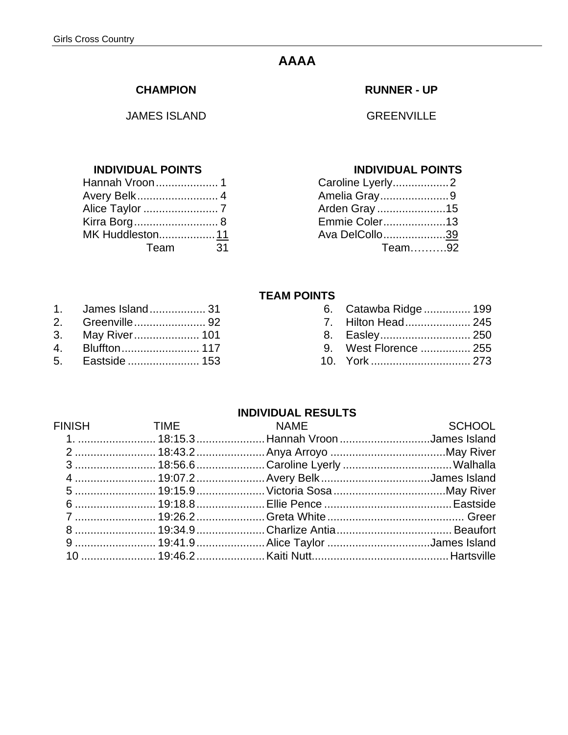# **AAAA**

#### **CHAMPION**

JAMES ISLAND

#### **INDIVIDUAL POINTS INDIVIDUAL POINTS**

| Hannah Vroon1   |    |
|-----------------|----|
| Avery Belk 4    |    |
|                 |    |
| Kirra Borg 8    |    |
| MK Huddleston11 |    |
| Team            | 31 |
|                 |    |

1. James Island................... 31 2. Greenville....................... 92 7. Hilton Head..................... 245

#### **RUNNER - UP**

GREENVILLE

| Caroline Lyerly2 |  |
|------------------|--|
| Amelia Gray9     |  |
| Arden Gray15     |  |
| Emmie Coler13    |  |
| Ava DelCollo39   |  |
| Team92           |  |

#### **TEAM POINTS**

| 1. James Island 31      |  | 6. Catawba Ridge  199 |  |
|-------------------------|--|-----------------------|--|
| 2. Greenville92         |  |                       |  |
| 3. May River 101        |  |                       |  |
| 4. Bluffton         117 |  | 9. West Florence  255 |  |
| 5. Eastside  153        |  |                       |  |

| FINISH TIME NAME |                                                                   | <b>Example 2018</b> SCHOOL |
|------------------|-------------------------------------------------------------------|----------------------------|
|                  | 1.  18:15.3  Hannah Vroon James Island                            |                            |
|                  |                                                                   |                            |
|                  | 3  18:56.6 Caroline Lyerly  Walhalla                              |                            |
|                  | 4  19:07.2  Avery Belk James Island                               |                            |
|                  | 5  19:15.9  Victoria Sosa May River                               |                            |
|                  | 6 ……………………… 19:18.8 …………………… Ellie Pence ……………………………………… Eastside |                            |
|                  |                                                                   |                            |
|                  |                                                                   |                            |
|                  | 9  19:41.9  Alice Taylor James Island                             |                            |
|                  |                                                                   |                            |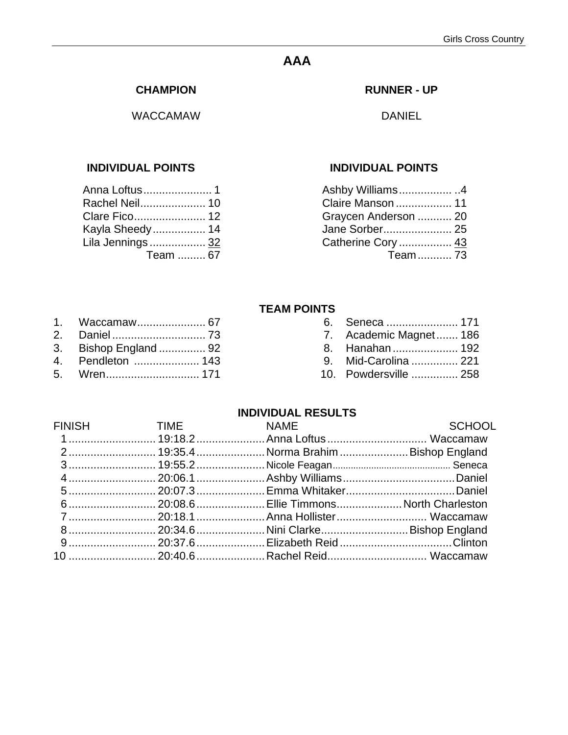# **AAA**

#### **CHAMPION**

WACCAMAW

#### **INDIVIDUAL POINTS INDIVIDUAL POINTS**

| Rachel Neil 10    |  |
|-------------------|--|
|                   |  |
| Kayla Sheedy 14   |  |
| Lila Jennings  32 |  |
| Team  67          |  |
|                   |  |

#### **RUNNER - UP**

DANIEL

| Ashby Williams4      |  |
|----------------------|--|
| Claire Manson  11    |  |
| Graycen Anderson  20 |  |
| Jane Sorber 25       |  |
| Catherine Cory  43   |  |
| Team 73              |  |
|                      |  |

#### **TEAM POINTS**

|--|--|--|--|--|--|--|--|

- 2. Daniel .............................. 73 7. Academic Magnet....... 186
- 
- 4. Pendleton ..................... 143 9. Mid-Carolina ............... 221
- 5. Wren.............................. 171 10. Powdersville ............... 258

| 1. Waccamaw 67        |  | 6. Seneca  171                 |
|-----------------------|--|--------------------------------|
|                       |  | 7. Academic Magnet 186         |
| 3. Bishop England  92 |  | 8. Hanahan  192                |
| 1 Depalleton 119      |  | $\Omega$ Mid Corolina $\Omega$ |

|  | FINISH TIME NAME SCHOOL<br>1 19:18.2Anna Loftus Waccamaw<br>7  20:18.1  Anna Hollister  Waccamaw<br>9  20:37.6  Elizabeth Reid Clinton<br>10  20:40.6  Rachel Reid Waccamaw |
|--|-----------------------------------------------------------------------------------------------------------------------------------------------------------------------------|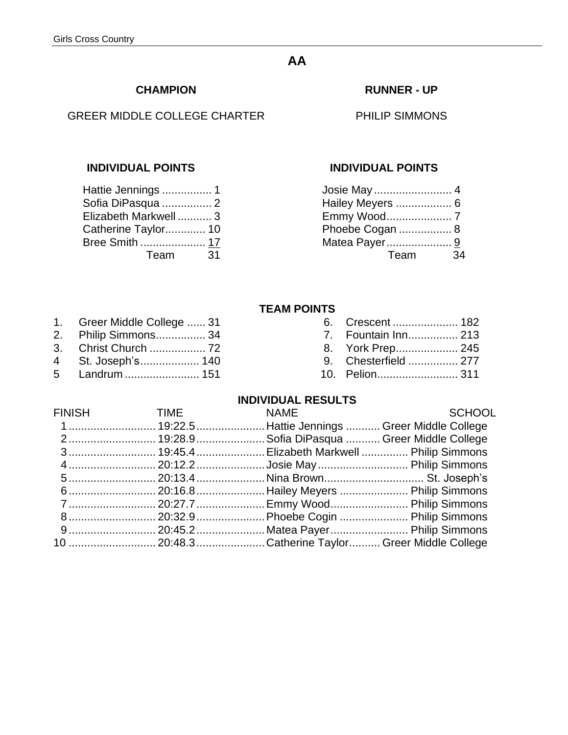# **AA**

#### **CHAMPION**

### GREER MIDDLE COLLEGE CHARTER

| Hattie Jennings  1    |
|-----------------------|
| Sofia DiPasqua  2     |
| Elizabeth Markwell  3 |
| Catherine Taylor 10   |
| Bree Smith  17        |
| 31                    |
|                       |

#### **RUNNER - UP**

PHILIP SIMMONS

#### **INDIVIDUAL POINTS INDIVIDUAL POINTS**

| Hailey Meyers  6 |    |
|------------------|----|
|                  |    |
| Phoebe Cogan  8  |    |
| Matea Payer 9    |    |
| Team             | 34 |
|                  |    |

#### **TEAM POINTS**

| Greer Middle College  31 |  |               |
|--------------------------|--|---------------|
| .                        |  | $\sim$ $\sim$ |

- 2. Philip Simmons................ 34 7.
- 3. Christ Church .................. 72 8. York Prep.................... 245
- 4 St. Joseph's.................... 140 9.
- 

| 1. Greer Middle College  31 |                      |
|-----------------------------|----------------------|
| 2. Philip Simmons 34        | 7. Fountain Inn 213  |
|                             | 8. York Prep 245     |
| 4 St. Joseph's 140          | 9. Chesterfield  277 |
|                             | 10. Pelion 311       |

| FINISH TIME NAME |                                                   | SCHOOL |
|------------------|---------------------------------------------------|--------|
|                  | 1 19:22.5Hattie Jennings  Greer Middle College    |        |
|                  | 2 19:28.9 Sofia DiPasqua  Greer Middle College    |        |
|                  | 3 19:45.4 Elizabeth Markwell  Philip Simmons      |        |
|                  |                                                   |        |
|                  |                                                   |        |
|                  |                                                   |        |
|                  | 7  20:27.7  Emmy Wood Philip Simmons              |        |
|                  |                                                   |        |
|                  | 9 20:45.2Matea Payer Philip Simmons               |        |
|                  | 10  20:48.3 Catherine Taylor Greer Middle College |        |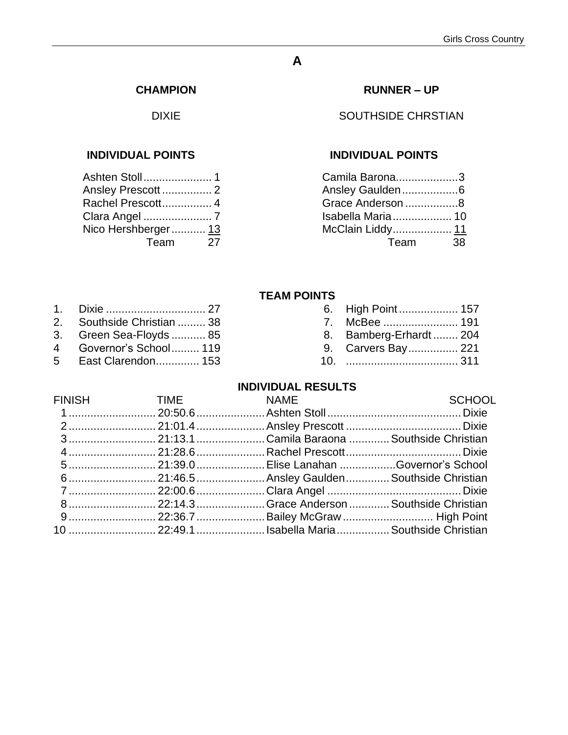# **A**

#### **CHAMPION**

DIXIE

### **INDIVIDUAL POINTS INDIVIDUAL POINTS**

| Ansley Prescott 2   |    |
|---------------------|----|
| Rachel Prescott 4   |    |
|                     |    |
| Nico Hershberger 13 |    |
| Team                | 27 |
|                     |    |

### **RUNNER – UP**

### SOUTHSIDE CHRSTIAN

| Camila Barona3    |     |
|-------------------|-----|
| Ansley Gaulden6   |     |
| Grace Anderson 8  |     |
| Isabella Maria 10 |     |
| McClain Liddy 11  |     |
| Team              | 38. |
|                   |     |

#### **TEAM POINTS**

|                            |  | 6. High Point 157      |  |
|----------------------------|--|------------------------|--|
| 2. Southside Christian  38 |  |                        |  |
| 3. Green Sea-Floyds  85    |  | 8. Bamberg-Erhardt 204 |  |
| 4 Governor's School 119    |  | 9. Carvers Bay 221     |  |
| 5 East Clarendon 153       |  |                        |  |
|                            |  |                        |  |

|  | FINISH TIME NAME SCHOOL<br>3 21:13.1Camila Baraona Southside Christian<br>5 21:39.0Elise Lanahan Governor's School<br>8 22:14.3Grace Anderson  Southside Christian<br>10  22:49.1 Isabella Maria  Southside Christian |
|--|-----------------------------------------------------------------------------------------------------------------------------------------------------------------------------------------------------------------------|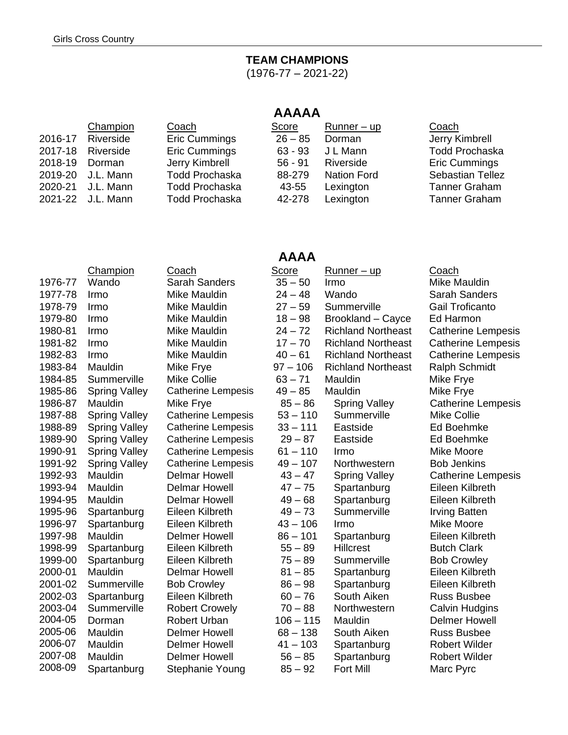# **TEAM CHAMPIONS**

 $(1976 - 77 - 2021 - 22)$ 

# **AAAAA**

|                | Champion          | Coach                 | Score     | $Runner - up$      | Coach                   |
|----------------|-------------------|-----------------------|-----------|--------------------|-------------------------|
|                | 2016-17 Riverside | Eric Cummings         | $26 - 85$ | Dorman             | Jerry Kimbrell          |
| 2017-18        | Riverside         | Eric Cummings         | $63 - 93$ | J L Mann           | <b>Todd Prochaska</b>   |
| 2018-19 Dorman |                   | Jerry Kimbrell        | $56 - 91$ | Riverside          | <b>Eric Cummings</b>    |
|                | 2019-20 J.L. Mann | <b>Todd Prochaska</b> | 88-279    | <b>Nation Ford</b> | <b>Sebastian Tellez</b> |
|                | 2020-21 J.L. Mann | <b>Todd Prochaska</b> | 43-55     | Lexington          | <b>Tanner Graham</b>    |
|                | 2021-22 J.L. Mann | <b>Todd Prochaska</b> | 42-278    | Lexington          | <b>Tanner Graham</b>    |
|                |                   |                       |           |                    |                         |

# **AAAA**

|         | Champion             | Coach                     | <b>Score</b> | <u>Runner – up</u>        | Coach                     |
|---------|----------------------|---------------------------|--------------|---------------------------|---------------------------|
| 1976-77 | Wando                | <b>Sarah Sanders</b>      | $35 - 50$    | Irmo                      | Mike Mauldin              |
| 1977-78 | Irmo                 | Mike Mauldin              | $24 - 48$    | Wando                     | <b>Sarah Sanders</b>      |
| 1978-79 | Irmo                 | Mike Mauldin              | $27 - 59$    | Summerville               | Gail Troficanto           |
| 1979-80 | Irmo                 | Mike Mauldin              | $18 - 98$    | Brookland - Cayce         | Ed Harmon                 |
| 1980-81 | Irmo                 | Mike Mauldin              | $24 - 72$    | <b>Richland Northeast</b> | <b>Catherine Lempesis</b> |
| 1981-82 | Irmo                 | Mike Mauldin              | $17 - 70$    | <b>Richland Northeast</b> | <b>Catherine Lempesis</b> |
| 1982-83 | Irmo                 | Mike Mauldin              | $40 - 61$    | <b>Richland Northeast</b> | <b>Catherine Lempesis</b> |
| 1983-84 | Mauldin              | Mike Frye                 | $97 - 106$   | <b>Richland Northeast</b> | Ralph Schmidt             |
| 1984-85 | Summerville          | <b>Mike Collie</b>        | $63 - 71$    | Mauldin                   | Mike Frye                 |
| 1985-86 | <b>Spring Valley</b> | <b>Catherine Lempesis</b> | $49 - 85$    | Mauldin                   | Mike Frye                 |
| 1986-87 | Mauldin              | Mike Frye                 | $85 - 86$    | <b>Spring Valley</b>      | <b>Catherine Lempesis</b> |
| 1987-88 | <b>Spring Valley</b> | <b>Catherine Lempesis</b> | $53 - 110$   | Summerville               | <b>Mike Collie</b>        |
| 1988-89 | <b>Spring Valley</b> | <b>Catherine Lempesis</b> | $33 - 111$   | Eastside                  | Ed Boehmke                |
| 1989-90 | <b>Spring Valley</b> | <b>Catherine Lempesis</b> | $29 - 87$    | Eastside                  | Ed Boehmke                |
| 1990-91 | <b>Spring Valley</b> | <b>Catherine Lempesis</b> | $61 - 110$   | Irmo                      | <b>Mike Moore</b>         |
| 1991-92 | <b>Spring Valley</b> | <b>Catherine Lempesis</b> | $49 - 107$   | Northwestern              | <b>Bob Jenkins</b>        |
| 1992-93 | Mauldin              | <b>Delmar Howell</b>      | $43 - 47$    | <b>Spring Valley</b>      | <b>Catherine Lempesis</b> |
| 1993-94 | Mauldin              | <b>Delmar Howell</b>      | $47 - 75$    | Spartanburg               | Eileen Kilbreth           |
| 1994-95 | Mauldin              | <b>Delmar Howell</b>      | $49 - 68$    | Spartanburg               | Eileen Kilbreth           |
| 1995-96 | Spartanburg          | Eileen Kilbreth           | $49 - 73$    | Summerville               | <b>Irving Batten</b>      |
| 1996-97 | Spartanburg          | Eileen Kilbreth           | $43 - 106$   | Irmo                      | <b>Mike Moore</b>         |
| 1997-98 | Mauldin              | <b>Delmer Howell</b>      | $86 - 101$   | Spartanburg               | Eileen Kilbreth           |
| 1998-99 | Spartanburg          | Eileen Kilbreth           | $55 - 89$    | <b>Hillcrest</b>          | <b>Butch Clark</b>        |
| 1999-00 | Spartanburg          | Eileen Kilbreth           | $75 - 89$    | Summerville               | <b>Bob Crowley</b>        |
| 2000-01 | Mauldin              | <b>Delmar Howell</b>      | $81 - 85$    | Spartanburg               | Eileen Kilbreth           |
| 2001-02 | Summerville          | <b>Bob Crowley</b>        | $86 - 98$    | Spartanburg               | Eileen Kilbreth           |
| 2002-03 | Spartanburg          | Eileen Kilbreth           | $60 - 76$    | South Aiken               | <b>Russ Busbee</b>        |
| 2003-04 | Summerville          | <b>Robert Crowely</b>     | $70 - 88$    | Northwestern              | <b>Calvin Hudgins</b>     |
| 2004-05 | Dorman               | Robert Urban              | $106 - 115$  | Mauldin                   | <b>Delmer Howell</b>      |
| 2005-06 | Mauldin              | <b>Delmer Howell</b>      | $68 - 138$   | South Aiken               | <b>Russ Busbee</b>        |
| 2006-07 | Mauldin              | <b>Delmer Howell</b>      | $41 - 103$   | Spartanburg               | <b>Robert Wilder</b>      |
| 2007-08 | Mauldin              | <b>Delmer Howell</b>      | $56 - 85$    | Spartanburg               | <b>Robert Wilder</b>      |
| 2008-09 | Spartanburg          | Stephanie Young           | $85 - 92$    | <b>Fort Mill</b>          | Marc Pyrc                 |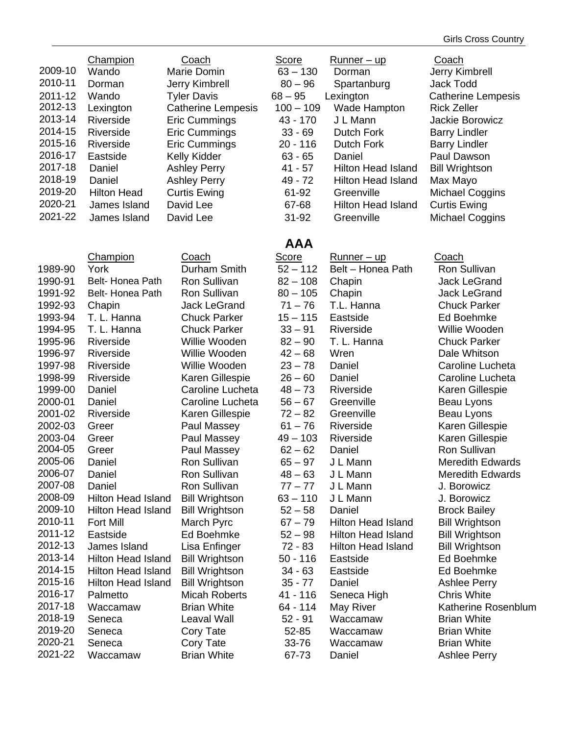| 2009-10<br>2010-11<br>2011-12<br>2012-13<br>2013-14<br>2014-15<br>2015-16<br>2016-17<br>2017-18<br>2018-19<br>2019-20<br>2020-21<br>2021-22 | Champion<br>Wando<br>Dorman<br>Wando<br>Lexington<br>Riverside<br>Riverside<br>Riverside<br>Eastside<br>Daniel<br>Daniel<br><b>Hilton Head</b><br>James Island<br>James Island | Coach<br>Marie Domin<br>Jerry Kimbrell<br><b>Tyler Davis</b><br><b>Catherine Lempesis</b><br>Eric Cummings<br>Eric Cummings<br>Eric Cummings<br>Kelly Kidder<br><b>Ashley Perry</b><br><b>Ashley Perry</b><br><b>Curtis Ewing</b><br>David Lee<br>David Lee | <b>Score</b><br>$63 - 130$<br>$80 - 96$<br>$68 - 95$<br>$100 - 109$<br>43 - 170<br>$33 - 69$<br>$20 - 116$<br>$63 - 65$<br>$41 - 57$<br>49 - 72<br>61-92<br>67-68<br>31-92 | <u>Runner – up</u><br>Dorman<br>Spartanburg<br>Lexington<br>Wade Hampton<br>J L Mann<br>Dutch Fork<br><b>Dutch Fork</b><br>Daniel<br><b>Hilton Head Island</b><br><b>Hilton Head Island</b><br>Greenville<br><b>Hilton Head Island</b><br>Greenville | Coach<br>Jerry Kimbrell<br><b>Jack Todd</b><br><b>Catherine Lempesis</b><br><b>Rick Zeller</b><br>Jackie Borowicz<br><b>Barry Lindler</b><br><b>Barry Lindler</b><br>Paul Dawson<br><b>Bill Wrightson</b><br>Max Mayo<br><b>Michael Coggins</b><br><b>Curtis Ewing</b><br><b>Michael Coggins</b> |
|---------------------------------------------------------------------------------------------------------------------------------------------|--------------------------------------------------------------------------------------------------------------------------------------------------------------------------------|-------------------------------------------------------------------------------------------------------------------------------------------------------------------------------------------------------------------------------------------------------------|----------------------------------------------------------------------------------------------------------------------------------------------------------------------------|------------------------------------------------------------------------------------------------------------------------------------------------------------------------------------------------------------------------------------------------------|--------------------------------------------------------------------------------------------------------------------------------------------------------------------------------------------------------------------------------------------------------------------------------------------------|
|                                                                                                                                             |                                                                                                                                                                                |                                                                                                                                                                                                                                                             | <b>AAA</b>                                                                                                                                                                 |                                                                                                                                                                                                                                                      |                                                                                                                                                                                                                                                                                                  |
| 1989-90<br>1990-91<br>1991-92<br>1992-93<br>1993-94                                                                                         | <b>Champion</b><br>York<br>Belt-Honea Path<br>Belt-Honea Path<br>Chapin<br>T. L. Hanna                                                                                         | Coach<br>Durham Smith<br>Ron Sullivan<br>Ron Sullivan<br><b>Jack LeGrand</b><br><b>Chuck Parker</b>                                                                                                                                                         | Score<br>$52 - 112$<br>$82 - 108$<br>$80 - 105$<br>$71 - 76$<br>$15 - 115$                                                                                                 | <u>Runner – up</u><br>Belt - Honea Path<br>Chapin<br>Chapin<br>T.L. Hanna<br>Eastside                                                                                                                                                                | Coach<br>Ron Sullivan<br><b>Jack LeGrand</b><br><b>Jack LeGrand</b><br><b>Chuck Parker</b><br>Ed Boehmke                                                                                                                                                                                         |
| 1994-95<br>1995-96                                                                                                                          | T. L. Hanna<br>Riverside                                                                                                                                                       | <b>Chuck Parker</b><br>Willie Wooden                                                                                                                                                                                                                        | $33 - 91$<br>$82 - 90$                                                                                                                                                     | Riverside<br>T. L. Hanna                                                                                                                                                                                                                             | Willie Wooden<br><b>Chuck Parker</b>                                                                                                                                                                                                                                                             |
| 1996-97                                                                                                                                     | Riverside                                                                                                                                                                      | Willie Wooden                                                                                                                                                                                                                                               | $42 - 68$                                                                                                                                                                  | Wren                                                                                                                                                                                                                                                 | Dale Whitson                                                                                                                                                                                                                                                                                     |
| 1997-98<br>1998-99                                                                                                                          | Riverside<br>Riverside                                                                                                                                                         | Willie Wooden<br>Karen Gillespie                                                                                                                                                                                                                            | $23 - 78$<br>$26 - 60$                                                                                                                                                     | Daniel<br>Daniel                                                                                                                                                                                                                                     | Caroline Lucheta<br>Caroline Lucheta                                                                                                                                                                                                                                                             |
| 1999-00                                                                                                                                     | Daniel                                                                                                                                                                         | Caroline Lucheta                                                                                                                                                                                                                                            | $48 - 73$                                                                                                                                                                  | Riverside                                                                                                                                                                                                                                            | Karen Gillespie                                                                                                                                                                                                                                                                                  |
| 2000-01                                                                                                                                     | Daniel                                                                                                                                                                         | Caroline Lucheta                                                                                                                                                                                                                                            | $56 - 67$                                                                                                                                                                  | Greenville                                                                                                                                                                                                                                           | Beau Lyons                                                                                                                                                                                                                                                                                       |
| 2001-02                                                                                                                                     | Riverside                                                                                                                                                                      | Karen Gillespie                                                                                                                                                                                                                                             | $72 - 82$                                                                                                                                                                  | Greenville                                                                                                                                                                                                                                           | Beau Lyons                                                                                                                                                                                                                                                                                       |
| 2002-03                                                                                                                                     | Greer                                                                                                                                                                          | Paul Massey                                                                                                                                                                                                                                                 | $61 - 76$                                                                                                                                                                  | Riverside                                                                                                                                                                                                                                            | Karen Gillespie                                                                                                                                                                                                                                                                                  |
| 2003-04                                                                                                                                     | Greer                                                                                                                                                                          | Paul Massey                                                                                                                                                                                                                                                 | $49 - 103$                                                                                                                                                                 | Riverside                                                                                                                                                                                                                                            | Karen Gillespie                                                                                                                                                                                                                                                                                  |
| 2004-05                                                                                                                                     | Greer                                                                                                                                                                          | Paul Massey                                                                                                                                                                                                                                                 | $62 - 62$                                                                                                                                                                  | Daniel                                                                                                                                                                                                                                               | Ron Sullivan                                                                                                                                                                                                                                                                                     |
| 2005-06                                                                                                                                     | Daniel                                                                                                                                                                         | Ron Sullivan                                                                                                                                                                                                                                                | $65 - 97$                                                                                                                                                                  | J L Mann                                                                                                                                                                                                                                             | <b>Meredith Edwards</b>                                                                                                                                                                                                                                                                          |
| 2006-07                                                                                                                                     | Daniel                                                                                                                                                                         | Ron Sullivan                                                                                                                                                                                                                                                | $48 - 63$                                                                                                                                                                  | J L Mann                                                                                                                                                                                                                                             | <b>Meredith Edwards</b>                                                                                                                                                                                                                                                                          |
| 2007-08                                                                                                                                     | Daniel                                                                                                                                                                         | Ron Sullivan                                                                                                                                                                                                                                                | $77 - 77$                                                                                                                                                                  | J L Mann                                                                                                                                                                                                                                             | J. Borowicz                                                                                                                                                                                                                                                                                      |
| 2008-09                                                                                                                                     | <b>Hilton Head Island</b>                                                                                                                                                      | <b>Bill Wrightson</b>                                                                                                                                                                                                                                       | $63 - 110$                                                                                                                                                                 | J L Mann                                                                                                                                                                                                                                             | J. Borowicz                                                                                                                                                                                                                                                                                      |
| 2009-10                                                                                                                                     | <b>Hilton Head Island</b>                                                                                                                                                      | <b>Bill Wrightson</b>                                                                                                                                                                                                                                       | $52 - 58$                                                                                                                                                                  | Daniel                                                                                                                                                                                                                                               | <b>Brock Bailey</b>                                                                                                                                                                                                                                                                              |
| 2010-11                                                                                                                                     | <b>Fort Mill</b>                                                                                                                                                               | March Pyrc                                                                                                                                                                                                                                                  | $67 - 79$                                                                                                                                                                  | <b>Hilton Head Island</b>                                                                                                                                                                                                                            | <b>Bill Wrightson</b>                                                                                                                                                                                                                                                                            |
| 2011-12                                                                                                                                     | Eastside                                                                                                                                                                       | Ed Boehmke                                                                                                                                                                                                                                                  | $52 - 98$                                                                                                                                                                  | <b>Hilton Head Island</b>                                                                                                                                                                                                                            | <b>Bill Wrightson</b>                                                                                                                                                                                                                                                                            |
| 2012-13                                                                                                                                     | James Island                                                                                                                                                                   | Lisa Enfinger                                                                                                                                                                                                                                               | $72 - 83$                                                                                                                                                                  | <b>Hilton Head Island</b>                                                                                                                                                                                                                            | <b>Bill Wrightson</b>                                                                                                                                                                                                                                                                            |
| 2013-14                                                                                                                                     | <b>Hilton Head Island</b>                                                                                                                                                      | <b>Bill Wrightson</b>                                                                                                                                                                                                                                       | $50 - 116$                                                                                                                                                                 | Eastside                                                                                                                                                                                                                                             | Ed Boehmke                                                                                                                                                                                                                                                                                       |
| 2014-15                                                                                                                                     | Hilton Head Island                                                                                                                                                             | <b>Bill Wrightson</b>                                                                                                                                                                                                                                       | $34 - 63$                                                                                                                                                                  | Eastside                                                                                                                                                                                                                                             | Ed Boehmke                                                                                                                                                                                                                                                                                       |
| 2015-16                                                                                                                                     | <b>Hilton Head Island</b>                                                                                                                                                      | <b>Bill Wrightson</b>                                                                                                                                                                                                                                       | $35 - 77$                                                                                                                                                                  | Daniel                                                                                                                                                                                                                                               | <b>Ashlee Perry</b>                                                                                                                                                                                                                                                                              |
| 2016-17                                                                                                                                     | Palmetto                                                                                                                                                                       | <b>Micah Roberts</b>                                                                                                                                                                                                                                        | 41 - 116                                                                                                                                                                   | Seneca High                                                                                                                                                                                                                                          | <b>Chris White</b>                                                                                                                                                                                                                                                                               |
| 2017-18                                                                                                                                     | Waccamaw                                                                                                                                                                       | <b>Brian White</b>                                                                                                                                                                                                                                          | 64 - 114                                                                                                                                                                   | May River                                                                                                                                                                                                                                            | Katherine Rosenblum                                                                                                                                                                                                                                                                              |
| 2018-19                                                                                                                                     | Seneca                                                                                                                                                                         | Leaval Wall                                                                                                                                                                                                                                                 | $52 - 91$                                                                                                                                                                  | Waccamaw                                                                                                                                                                                                                                             | <b>Brian White</b>                                                                                                                                                                                                                                                                               |
| 2019-20                                                                                                                                     | Seneca                                                                                                                                                                         | Cory Tate                                                                                                                                                                                                                                                   | 52-85                                                                                                                                                                      | Waccamaw                                                                                                                                                                                                                                             | <b>Brian White</b>                                                                                                                                                                                                                                                                               |
| 2020-21<br>2021-22                                                                                                                          | Seneca                                                                                                                                                                         | Cory Tate                                                                                                                                                                                                                                                   | 33-76                                                                                                                                                                      | Waccamaw                                                                                                                                                                                                                                             | <b>Brian White</b>                                                                                                                                                                                                                                                                               |
|                                                                                                                                             | Waccamaw                                                                                                                                                                       | <b>Brian White</b>                                                                                                                                                                                                                                          | 67-73                                                                                                                                                                      | Daniel                                                                                                                                                                                                                                               | <b>Ashlee Perry</b>                                                                                                                                                                                                                                                                              |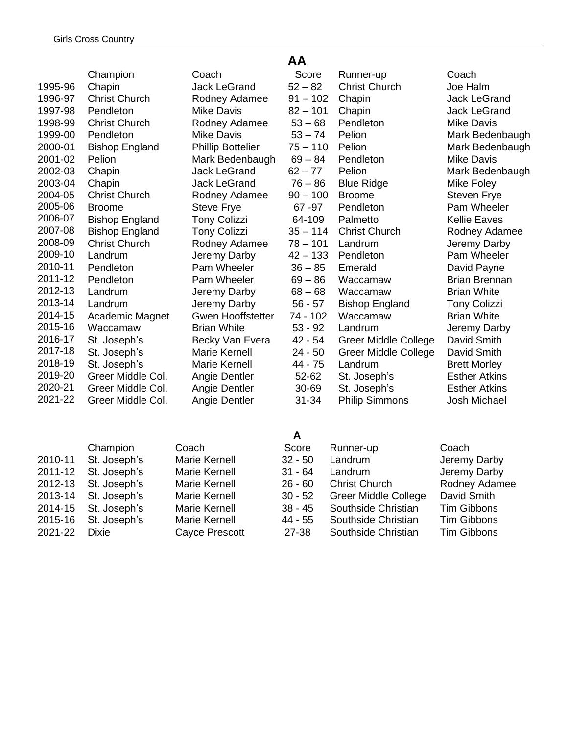|         | Champion              | Co        |
|---------|-----------------------|-----------|
| 1995-96 | Chapin                | Jac       |
| 1996-97 | <b>Christ Church</b>  | Ro        |
| 1997-98 | Pendleton             | Mil       |
| 1998-99 | <b>Christ Church</b>  | Ro        |
| 1999-00 | Pendleton             | Mil       |
| 2000-01 | <b>Bishop England</b> | Phi       |
| 2001-02 | Pelion                | Ma        |
| 2002-03 | Chapin                | Jac       |
| 2003-04 | Chapin                | Jac       |
| 2004-05 | <b>Christ Church</b>  | Ro        |
| 2005-06 | <b>Broome</b>         | Ste       |
| 2006-07 | <b>Bishop England</b> | Toı       |
| 2007-08 | <b>Bishop England</b> | Tor       |
| 2008-09 | <b>Christ Church</b>  | Ro        |
| 2009-10 | Landrum               | Jer       |
| 2010-11 | Pendleton             | Pa        |
| 2011-12 | Pendleton             | Pa        |
| 2012-13 | Landrum               | Jer       |
| 2013-14 | Landrum               | Jer       |
| 2014-15 | Academic Magnet       | G٧        |
| 2015-16 | Waccamaw              | Bria      |
| 2016-17 | St. Joseph's          | <b>Be</b> |
| 2017-18 | St. Joseph's          | Ма        |
| 2018-19 | St. Joseph's          | Ma        |
| 2019-20 | Greer Middle Col.     | An        |
| 2020-21 | Greer Middle Col.     | An        |
| 2021-22 | Greer Middle Col.     | An        |

Champion Coach 2010-11 St. Joseph's Marie Kernell 2011-12 St. Joseph's Marie Kernell 2012-13 St. Joseph's Marie Kernell 2013-14 St. Joseph's Marie Kernell 2014-15 St. Joseph's Marie Kernell 2015-16 St. Joseph's Marie Kernell 2021-22 Dixie Cayce Prescott

## **AA**

|         | Champion              | Coach                    | Score      | Runner-up                   | Coach                |
|---------|-----------------------|--------------------------|------------|-----------------------------|----------------------|
| 1995-96 | Chapin                | <b>Jack LeGrand</b>      | $52 - 82$  | <b>Christ Church</b>        | Joe Halm             |
| 1996-97 | <b>Christ Church</b>  | Rodney Adamee            | $91 - 102$ | Chapin                      | Jack LeGrand         |
| 1997-98 | Pendleton             | <b>Mike Davis</b>        | $82 - 101$ | Chapin                      | Jack LeGrand         |
| 1998-99 | <b>Christ Church</b>  | Rodney Adamee            | $53 - 68$  | Pendleton                   | <b>Mike Davis</b>    |
| 1999-00 | Pendleton             | <b>Mike Davis</b>        | $53 - 74$  | Pelion                      | Mark Bedenbaugh      |
| 2000-01 | <b>Bishop England</b> | <b>Phillip Bottelier</b> | $75 - 110$ | Pelion                      | Mark Bedenbaugh      |
| 2001-02 | Pelion                | Mark Bedenbaugh          | $69 - 84$  | Pendleton                   | <b>Mike Davis</b>    |
| 2002-03 | Chapin                | Jack LeGrand             | $62 - 77$  | Pelion                      | Mark Bedenbaugh      |
| 2003-04 | Chapin                | Jack LeGrand             | $76 - 86$  | <b>Blue Ridge</b>           | Mike Foley           |
| 2004-05 | <b>Christ Church</b>  | Rodney Adamee            | $90 - 100$ | <b>Broome</b>               | Steven Frye          |
| 2005-06 | <b>Broome</b>         | Steve Frye               | 67 - 97    | Pendleton                   | Pam Wheeler          |
| 2006-07 | <b>Bishop England</b> | <b>Tony Colizzi</b>      | 64-109     | Palmetto                    | <b>Kellie Eaves</b>  |
| 2007-08 | <b>Bishop England</b> | <b>Tony Colizzi</b>      | $35 - 114$ | <b>Christ Church</b>        | Rodney Adamee        |
| 2008-09 | <b>Christ Church</b>  | Rodney Adamee            | $78 - 101$ | Landrum                     | Jeremy Darby         |
| 2009-10 | Landrum               | Jeremy Darby             | $42 - 133$ | Pendleton                   | Pam Wheeler          |
| 2010-11 | Pendleton             | Pam Wheeler              | $36 - 85$  | Emerald                     | David Payne          |
| 2011-12 | Pendleton             | Pam Wheeler              | $69 - 86$  | Waccamaw                    | <b>Brian Brennan</b> |
| 2012-13 | Landrum               | Jeremy Darby             | $68 - 68$  | Waccamaw                    | <b>Brian White</b>   |
| 2013-14 | Landrum               | Jeremy Darby             | $56 - 57$  | <b>Bishop England</b>       | <b>Tony Colizzi</b>  |
| 2014-15 | Academic Magnet       | <b>Gwen Hooffstetter</b> | 74 - 102   | Waccamaw                    | <b>Brian White</b>   |
| 2015-16 | Waccamaw              | <b>Brian White</b>       | $53 - 92$  | Landrum                     | Jeremy Darby         |
| 2016-17 | St. Joseph's          | Becky Van Evera          | $42 - 54$  | Greer Middle College        | David Smith          |
| 2017-18 | St. Joseph's          | Marie Kernell            | $24 - 50$  | <b>Greer Middle College</b> | David Smith          |
| 2018-19 | St. Joseph's          | Marie Kernell            | 44 - 75    | Landrum                     | <b>Brett Morley</b>  |
| 2019-20 | Greer Middle Col.     | Angie Dentler            | 52-62      | St. Joseph's                | <b>Esther Atkins</b> |
| 2020-21 | Greer Middle Col.     | Angie Dentler            | 30-69      | St. Joseph's                | <b>Esther Atkins</b> |
| 2021-22 | Greer Middle Col.     | Angie Dentler            | 31-34      | <b>Philip Simmons</b>       | Josh Michael         |

| Score     | Runner-up                   | Coach              |
|-----------|-----------------------------|--------------------|
| $32 - 50$ | Landrum                     | Jeremy Darby       |
| $31 - 64$ | Landrum                     | Jeremy Darby       |
| $26 - 60$ | <b>Christ Church</b>        | Rodney Adamee      |
| $30 - 52$ | <b>Greer Middle College</b> | David Smith        |
| $38 - 45$ | Southside Christian         | <b>Tim Gibbons</b> |
| 44 - 55   | Southside Christian         | <b>Tim Gibbons</b> |
| 27-38     | Southside Christian         | <b>Tim Gibbons</b> |
|           |                             |                    |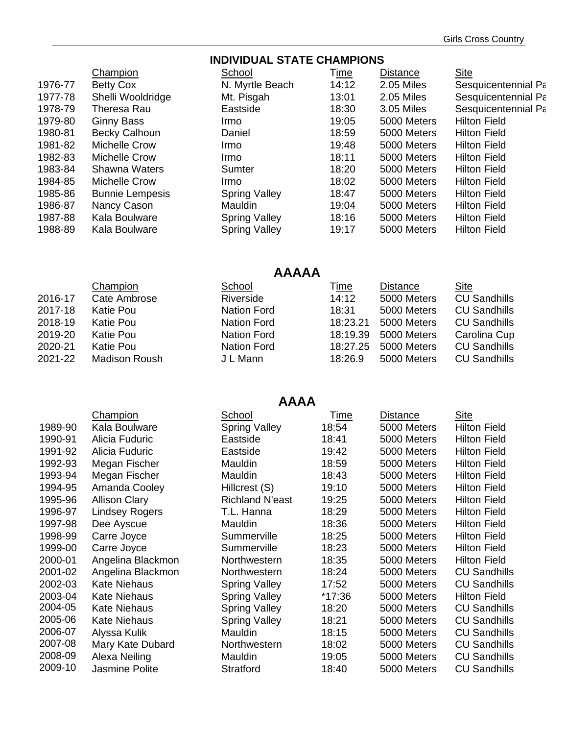#### **INDIVIDUAL STATE CHAMPIONS** Champion School Time Distance Site 1976-77 Betty Cox N. Myrtle Beach 14:12 2.05 Miles Sesquicentennial Park 1977-78 Shelli Wooldridge Mt. Pisgah 13:01 2.05 Miles Sesquicentennial Park 1978-79 Theresa Rau **Eastside** 18:30 3.05 Miles Sesquicentennial Park 1979-80 Ginny Bass Irmo 19:05 5000 Meters Hilton Field 1980-81 Becky Calhoun Daniel 18:59 5000 Meters Hilton Field 1981-82 Michelle Crow Irmo 19:48 5000 Meters Hilton Field 1982-83 Michelle Crow Irmo 18:11 5000 Meters Hilton Field 1983-84 Shawna Waters Sumter 18:20 5000 Meters Hilton Field 1984-85 Michelle Crow Irmo 18:02 5000 Meters Hilton Field 1985-86 Bunnie Lempesis Spring Valley 18:47 5000 Meters Hilton Field 1986-87 Nancy Cason Mauldin 19:04 5000 Meters Hilton Field 1987-88 Kala Boulware Spring Valley 18:16 5000 Meters Hilton Field 1988-89 Kala Boulware Spring Valley 19:17 5000 Meters Hilton Field

# **AAAAA**

|         | Champion      | School             | <u>Time</u> | <b>Distance</b> | <b>Site</b>         |
|---------|---------------|--------------------|-------------|-----------------|---------------------|
| 2016-17 | Cate Ambrose  | Riverside          | 14:12       | 5000 Meters     | <b>CU Sandhills</b> |
| 2017-18 | Katie Pou     | <b>Nation Ford</b> | 18:31       | 5000 Meters     | <b>CU Sandhills</b> |
| 2018-19 | Katie Pou     | <b>Nation Ford</b> | 18:23.21    | 5000 Meters     | <b>CU Sandhills</b> |
| 2019-20 | Katie Pou     | Nation Ford        | 18:19.39    | 5000 Meters     | Carolina Cup        |
| 2020-21 | Katie Pou     | Nation Ford        | 18:27.25    | 5000 Meters     | <b>CU Sandhills</b> |
| 2021-22 | Madison Roush | J L Mann           | 18:26.9     | 5000 Meters     | <b>CU Sandhills</b> |
|         |               |                    |             |                 |                     |

#### **AAAA**

|         | Champion              | School                 | Time   | Distance    | <b>Site</b>         |  |  |  |  |
|---------|-----------------------|------------------------|--------|-------------|---------------------|--|--|--|--|
| 1989-90 | Kala Boulware         | <b>Spring Valley</b>   | 18:54  | 5000 Meters | <b>Hilton Field</b> |  |  |  |  |
| 1990-91 | Alicia Fuduric        | Eastside               | 18:41  | 5000 Meters | <b>Hilton Field</b> |  |  |  |  |
| 1991-92 | Alicia Fuduric        | Eastside               | 19:42  | 5000 Meters | <b>Hilton Field</b> |  |  |  |  |
| 1992-93 | Megan Fischer         | Mauldin                | 18:59  | 5000 Meters | <b>Hilton Field</b> |  |  |  |  |
| 1993-94 | Megan Fischer         | Mauldin                | 18:43  | 5000 Meters | <b>Hilton Field</b> |  |  |  |  |
| 1994-95 | Amanda Cooley         | Hillcrest (S)          | 19:10  | 5000 Meters | <b>Hilton Field</b> |  |  |  |  |
| 1995-96 | <b>Allison Clary</b>  | <b>Richland N'east</b> | 19:25  | 5000 Meters | <b>Hilton Field</b> |  |  |  |  |
| 1996-97 | <b>Lindsey Rogers</b> | T.L. Hanna             | 18:29  | 5000 Meters | <b>Hilton Field</b> |  |  |  |  |
| 1997-98 | Dee Ayscue            | Mauldin                | 18:36  | 5000 Meters | <b>Hilton Field</b> |  |  |  |  |
| 1998-99 | Carre Joyce           | Summerville            | 18:25  | 5000 Meters | <b>Hilton Field</b> |  |  |  |  |
| 1999-00 | Carre Joyce           | Summerville            | 18:23  | 5000 Meters | <b>Hilton Field</b> |  |  |  |  |
| 2000-01 | Angelina Blackmon     | Northwestern           | 18:35  | 5000 Meters | <b>Hilton Field</b> |  |  |  |  |
| 2001-02 | Angelina Blackmon     | Northwestern           | 18:24  | 5000 Meters | <b>CU Sandhills</b> |  |  |  |  |
| 2002-03 | <b>Kate Niehaus</b>   | <b>Spring Valley</b>   | 17:52  | 5000 Meters | <b>CU Sandhills</b> |  |  |  |  |
| 2003-04 | <b>Kate Niehaus</b>   | <b>Spring Valley</b>   | *17:36 | 5000 Meters | <b>Hilton Field</b> |  |  |  |  |
| 2004-05 | <b>Kate Niehaus</b>   | <b>Spring Valley</b>   | 18:20  | 5000 Meters | <b>CU Sandhills</b> |  |  |  |  |
| 2005-06 | <b>Kate Niehaus</b>   | <b>Spring Valley</b>   | 18:21  | 5000 Meters | <b>CU Sandhills</b> |  |  |  |  |
| 2006-07 | Alyssa Kulik          | Mauldin                | 18:15  | 5000 Meters | <b>CU Sandhills</b> |  |  |  |  |
| 2007-08 | Mary Kate Dubard      | Northwestern           | 18:02  | 5000 Meters | <b>CU Sandhills</b> |  |  |  |  |
| 2008-09 | Alexa Neiling         | Mauldin                | 19:05  | 5000 Meters | <b>CU Sandhills</b> |  |  |  |  |
| 2009-10 | Jasmine Polite        | Stratford              | 18:40  | 5000 Meters | <b>CU Sandhills</b> |  |  |  |  |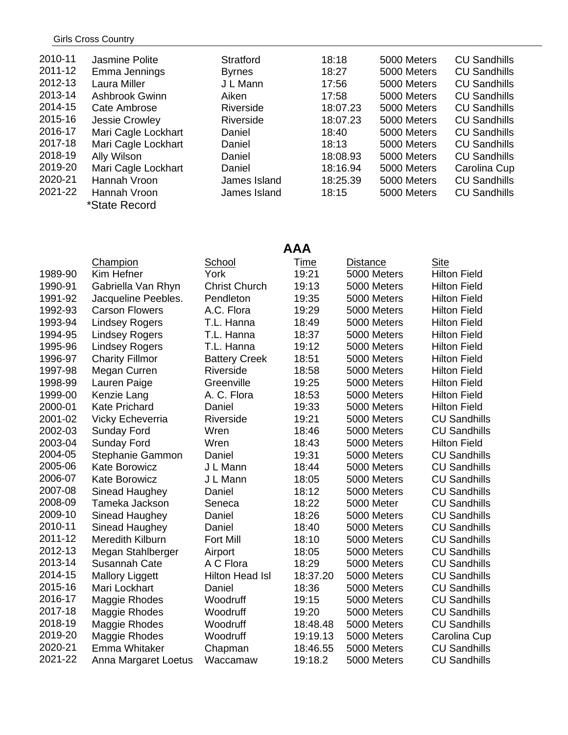#### Girls Cross Country

| 2010-11 | Jasmine Polite      | <b>Stratford</b> | 18:18    | 5000 Meters | <b>CU Sandhills</b> |
|---------|---------------------|------------------|----------|-------------|---------------------|
| 2011-12 | Emma Jennings       | <b>Byrnes</b>    | 18:27    | 5000 Meters | <b>CU Sandhills</b> |
| 2012-13 | Laura Miller        | J L Mann         | 17:56    | 5000 Meters | <b>CU Sandhills</b> |
| 2013-14 | Ashbrook Gwinn      | Aiken            | 17:58    | 5000 Meters | <b>CU Sandhills</b> |
| 2014-15 | Cate Ambrose        | Riverside        | 18:07.23 | 5000 Meters | <b>CU Sandhills</b> |
| 2015-16 | Jessie Crowley      | Riverside        | 18:07.23 | 5000 Meters | <b>CU Sandhills</b> |
| 2016-17 | Mari Cagle Lockhart | Daniel           | 18:40    | 5000 Meters | <b>CU Sandhills</b> |
| 2017-18 | Mari Cagle Lockhart | Daniel           | 18:13    | 5000 Meters | <b>CU Sandhills</b> |
| 2018-19 | Ally Wilson         | Daniel           | 18:08.93 | 5000 Meters | <b>CU Sandhills</b> |
| 2019-20 | Mari Cagle Lockhart | Daniel           | 18:16.94 | 5000 Meters | Carolina Cup        |
| 2020-21 | Hannah Vroon        | James Island     | 18:25.39 | 5000 Meters | <b>CU Sandhills</b> |
| 2021-22 | Hannah Vroon        | James Island     | 18:15    | 5000 Meters | <b>CU Sandhills</b> |
|         | *State Record       |                  |          |             |                     |

**AAA** 

|         | <b>Champion</b>         | School                 | <u>Time</u> | <b>Distance</b> | <b>Site</b>         |
|---------|-------------------------|------------------------|-------------|-----------------|---------------------|
| 1989-90 | Kim Hefner              | York                   | 19:21       | 5000 Meters     | <b>Hilton Field</b> |
| 1990-91 | Gabriella Van Rhyn      | <b>Christ Church</b>   | 19:13       | 5000 Meters     | <b>Hilton Field</b> |
| 1991-92 | Jacqueline Peebles.     | Pendleton              | 19:35       | 5000 Meters     | <b>Hilton Field</b> |
| 1992-93 | <b>Carson Flowers</b>   | A.C. Flora             | 19:29       | 5000 Meters     | <b>Hilton Field</b> |
| 1993-94 | <b>Lindsey Rogers</b>   | T.L. Hanna             | 18:49       | 5000 Meters     | <b>Hilton Field</b> |
| 1994-95 | <b>Lindsey Rogers</b>   | T.L. Hanna             | 18:37       | 5000 Meters     | <b>Hilton Field</b> |
| 1995-96 | <b>Lindsey Rogers</b>   | T.L. Hanna             | 19:12       | 5000 Meters     | <b>Hilton Field</b> |
| 1996-97 | <b>Charity Fillmor</b>  | <b>Battery Creek</b>   | 18:51       | 5000 Meters     | <b>Hilton Field</b> |
| 1997-98 | Megan Curren            | Riverside              | 18:58       | 5000 Meters     | <b>Hilton Field</b> |
| 1998-99 | Lauren Paige            | Greenville             | 19:25       | 5000 Meters     | <b>Hilton Field</b> |
| 1999-00 | Kenzie Lang             | A. C. Flora            | 18:53       | 5000 Meters     | <b>Hilton Field</b> |
| 2000-01 | <b>Kate Prichard</b>    | Daniel                 | 19:33       | 5000 Meters     | <b>Hilton Field</b> |
| 2001-02 | Vicky Echeverria        | Riverside              | 19:21       | 5000 Meters     | <b>CU Sandhills</b> |
| 2002-03 | Sunday Ford             | Wren                   | 18:46       | 5000 Meters     | <b>CU Sandhills</b> |
| 2003-04 | <b>Sunday Ford</b>      | Wren                   | 18:43       | 5000 Meters     | <b>Hilton Field</b> |
| 2004-05 | Stephanie Gammon        | Daniel                 | 19:31       | 5000 Meters     | <b>CU Sandhills</b> |
| 2005-06 | <b>Kate Borowicz</b>    | J L Mann               | 18:44       | 5000 Meters     | <b>CU Sandhills</b> |
| 2006-07 | <b>Kate Borowicz</b>    | J L Mann               | 18:05       | 5000 Meters     | <b>CU Sandhills</b> |
| 2007-08 | Sinead Haughey          | Daniel                 | 18:12       | 5000 Meters     | <b>CU Sandhills</b> |
| 2008-09 | Tameka Jackson          | Seneca                 | 18:22       | 5000 Meter      | <b>CU Sandhills</b> |
| 2009-10 | Sinead Haughey          | Daniel                 | 18:26       | 5000 Meters     | <b>CU Sandhills</b> |
| 2010-11 | Sinead Haughey          | Daniel                 | 18:40       | 5000 Meters     | <b>CU Sandhills</b> |
| 2011-12 | <b>Meredith Kilburn</b> | <b>Fort Mill</b>       | 18:10       | 5000 Meters     | <b>CU Sandhills</b> |
| 2012-13 | Megan Stahlberger       | Airport                | 18:05       | 5000 Meters     | <b>CU Sandhills</b> |
| 2013-14 | Susannah Cate           | A C Flora              | 18:29       | 5000 Meters     | <b>CU Sandhills</b> |
| 2014-15 | <b>Mallory Liggett</b>  | <b>Hilton Head Isl</b> | 18:37.20    | 5000 Meters     | <b>CU Sandhills</b> |
| 2015-16 | Mari Lockhart           | Daniel                 | 18:36       | 5000 Meters     | <b>CU Sandhills</b> |
| 2016-17 | Maggie Rhodes           | Woodruff               | 19:15       | 5000 Meters     | <b>CU Sandhills</b> |
| 2017-18 | Maggie Rhodes           | Woodruff               | 19:20       | 5000 Meters     | <b>CU Sandhills</b> |
| 2018-19 | Maggie Rhodes           | Woodruff               | 18:48.48    | 5000 Meters     | <b>CU Sandhills</b> |
| 2019-20 | Maggie Rhodes           | Woodruff               | 19:19.13    | 5000 Meters     | Carolina Cup        |
| 2020-21 | Emma Whitaker           | Chapman                | 18:46.55    | 5000 Meters     | <b>CU Sandhills</b> |
| 2021-22 | Anna Margaret Loetus    | Waccamaw               | 19:18.2     | 5000 Meters     | <b>CU Sandhills</b> |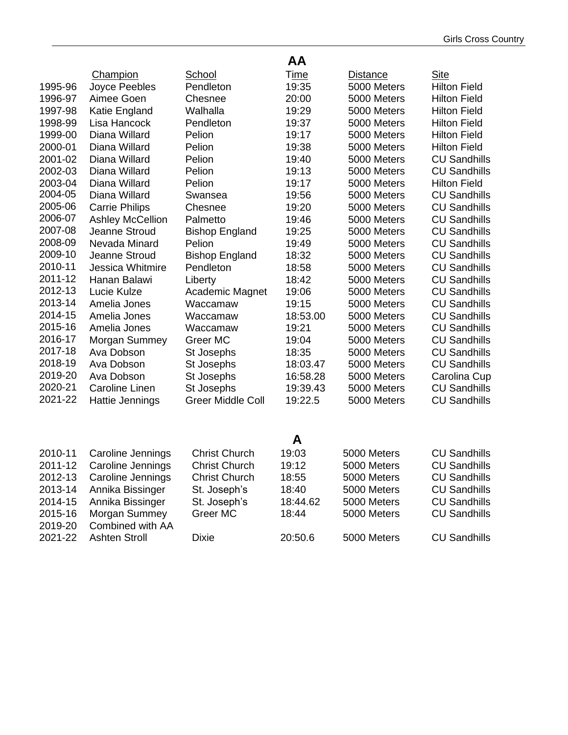|         |                         |                          | AA          |                 |                     |
|---------|-------------------------|--------------------------|-------------|-----------------|---------------------|
|         | Champion                | <b>School</b>            | <u>Time</u> | <b>Distance</b> | <b>Site</b>         |
| 1995-96 | Joyce Peebles           | Pendleton                | 19:35       | 5000 Meters     | <b>Hilton Field</b> |
| 1996-97 | Aimee Goen              | Chesnee                  | 20:00       | 5000 Meters     | <b>Hilton Field</b> |
| 1997-98 | Katie England           | Walhalla                 | 19:29       | 5000 Meters     | <b>Hilton Field</b> |
| 1998-99 | Lisa Hancock            | Pendleton                | 19:37       | 5000 Meters     | <b>Hilton Field</b> |
| 1999-00 | Diana Willard           | Pelion                   | 19:17       | 5000 Meters     | <b>Hilton Field</b> |
| 2000-01 | Diana Willard           | Pelion                   | 19:38       | 5000 Meters     | <b>Hilton Field</b> |
| 2001-02 | Diana Willard           | Pelion                   | 19:40       | 5000 Meters     | <b>CU Sandhills</b> |
| 2002-03 | Diana Willard           | Pelion                   | 19:13       | 5000 Meters     | <b>CU Sandhills</b> |
| 2003-04 | Diana Willard           | Pelion                   | 19:17       | 5000 Meters     | <b>Hilton Field</b> |
| 2004-05 | Diana Willard           | Swansea                  | 19:56       | 5000 Meters     | <b>CU Sandhills</b> |
| 2005-06 | <b>Carrie Philips</b>   | Chesnee                  | 19:20       | 5000 Meters     | <b>CU Sandhills</b> |
| 2006-07 | <b>Ashley McCellion</b> | Palmetto                 | 19:46       | 5000 Meters     | <b>CU Sandhills</b> |
| 2007-08 | Jeanne Stroud           | <b>Bishop England</b>    | 19:25       | 5000 Meters     | <b>CU Sandhills</b> |
| 2008-09 | Nevada Minard           | Pelion                   | 19:49       | 5000 Meters     | <b>CU Sandhills</b> |
| 2009-10 | Jeanne Stroud           | <b>Bishop England</b>    | 18:32       | 5000 Meters     | <b>CU Sandhills</b> |
| 2010-11 | Jessica Whitmire        | Pendleton                | 18:58       | 5000 Meters     | <b>CU Sandhills</b> |
| 2011-12 | Hanan Balawi            | Liberty                  | 18:42       | 5000 Meters     | <b>CU Sandhills</b> |
| 2012-13 | Lucie Kulze             | Academic Magnet          | 19:06       | 5000 Meters     | <b>CU Sandhills</b> |
| 2013-14 | Amelia Jones            | Waccamaw                 | 19:15       | 5000 Meters     | <b>CU Sandhills</b> |
| 2014-15 | Amelia Jones            | Waccamaw                 | 18:53.00    | 5000 Meters     | <b>CU Sandhills</b> |
| 2015-16 | Amelia Jones            | Waccamaw                 | 19:21       | 5000 Meters     | <b>CU Sandhills</b> |
| 2016-17 | Morgan Summey           | Greer MC                 | 19:04       | 5000 Meters     | <b>CU Sandhills</b> |
| 2017-18 | Ava Dobson              | St Josephs               | 18:35       | 5000 Meters     | <b>CU Sandhills</b> |
| 2018-19 | Ava Dobson              | St Josephs               | 18:03.47    | 5000 Meters     | <b>CU Sandhills</b> |
| 2019-20 | Ava Dobson              | St Josephs               | 16:58.28    | 5000 Meters     | Carolina Cup        |
| 2020-21 | <b>Caroline Linen</b>   | St Josephs               | 19:39.43    | 5000 Meters     | <b>CU Sandhills</b> |
| 2021-22 | Hattie Jennings         | <b>Greer Middle Coll</b> | 19:22.5     | 5000 Meters     | <b>CU Sandhills</b> |
|         |                         |                          |             |                 |                     |
|         |                         |                          | Α           |                 |                     |
| 2010-11 | Caroline Jennings       | <b>Christ Church</b>     | 19:03       | 5000 Meters     | <b>CU Sandhills</b> |
| 2011-12 | Caroline Jennings       | <b>Christ Church</b>     | 19:12       | 5000 Meters     | <b>CU Sandhills</b> |
| 2012-13 | Caroline Jennings       | <b>Christ Church</b>     | 18:55       | 5000 Meters     | <b>CU Sandhills</b> |
| 2013-14 | Annika Bissinger        | St. Joseph's             | 18:40       | 5000 Meters     | <b>CU Sandhills</b> |
| 2014-15 | Annika Bissinger        | St. Joseph's             | 18:44.62    | 5000 Meters     | <b>CU Sandhills</b> |
| 2015-16 | Morgan Summey           | Greer MC                 | 18:44       | 5000 Meters     | <b>CU Sandhills</b> |
| 2019-20 | Combined with AA        |                          |             |                 |                     |
| 2021-22 | <b>Ashten Stroll</b>    | <b>Dixie</b>             | 20:50.6     | 5000 Meters     | <b>CU Sandhills</b> |